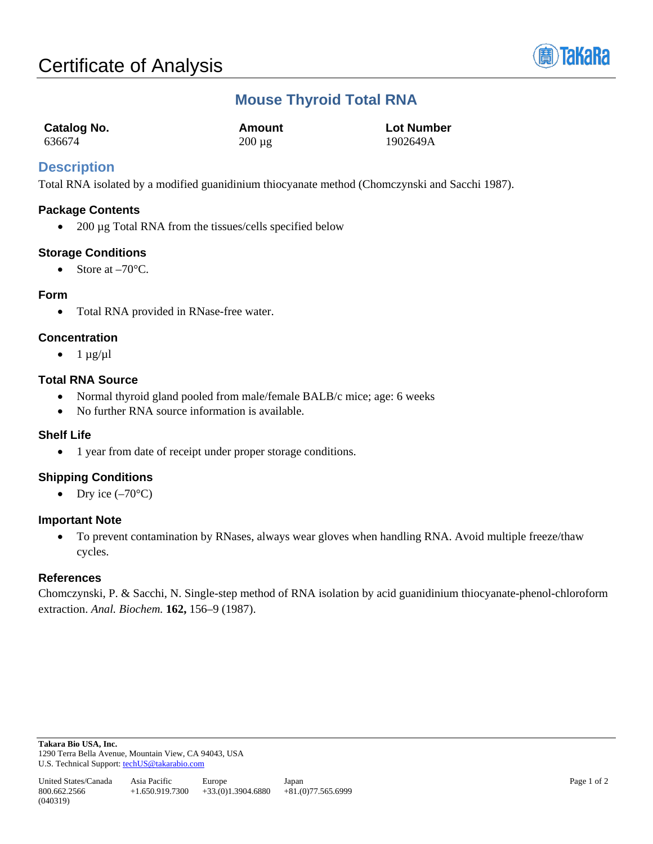

# **Mouse Thyroid Total RNA**

| <b>Catalog No.</b> | Amount      | <b>Lot Number</b> |
|--------------------|-------------|-------------------|
| 636674             | $200 \mu g$ | 1902649A          |

# **Description**

Total RNA isolated by a modified guanidinium thiocyanate method (Chomczynski and Sacchi 1987).

#### **Package Contents**

• 200 µg Total RNA from the tissues/cells specified below

## **Storage Conditions**

• Store at  $-70^{\circ}$ C.

#### **Form**

• Total RNA provided in RNase-free water.

## **Concentration**

•  $1 \mu g/\mu l$ 

## **Total RNA Source**

- Normal thyroid gland pooled from male/female BALB/c mice; age: 6 weeks
- No further RNA source information is available.

#### **Shelf Life**

• 1 year from date of receipt under proper storage conditions.

# **Shipping Conditions**

• Dry ice  $(-70^{\circ}C)$ 

## **Important Note**

• To prevent contamination by RNases, always wear gloves when handling RNA. Avoid multiple freeze/thaw cycles.

## **References**

Chomczynski, P. & Sacchi, N. Single-step method of RNA isolation by acid guanidinium thiocyanate-phenol-chloroform extraction. *Anal. Biochem.* **162,** 156–9 (1987).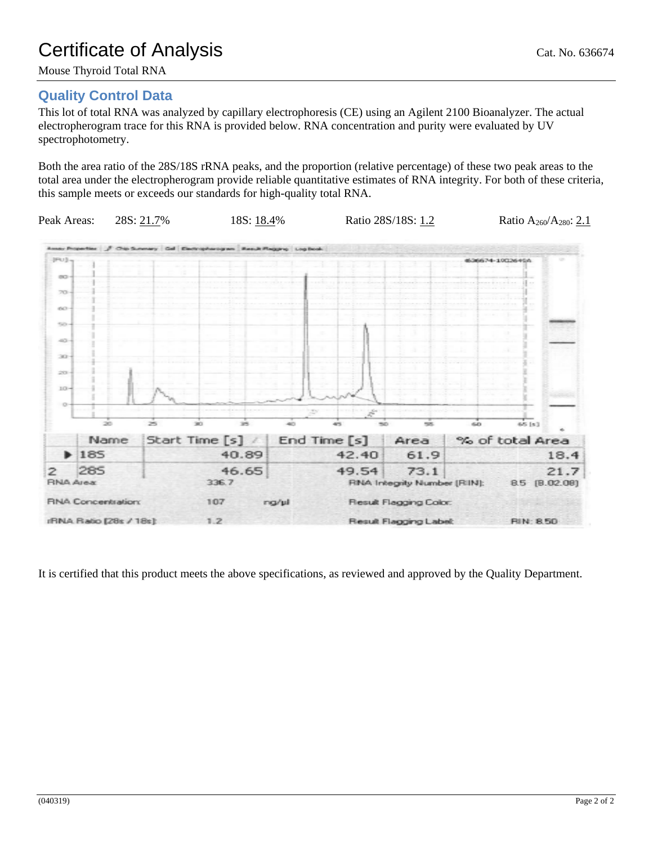Mouse Thyroid Total RNA

# **Quality Control Data**

This lot of total RNA was analyzed by capillary electrophoresis (CE) using an Agilent 2100 Bioanalyzer. The actual electropherogram trace for this RNA is provided below. RNA concentration and purity were evaluated by UV spectrophotometry.

Both the area ratio of the 28S/18S rRNA peaks, and the proportion (relative percentage) of these two peak areas to the total area under the electropherogram provide reliable quantitative estimates of RNA integrity. For both of these criteria, this sample meets or exceeds our standards for high-quality total RNA.



It is certified that this product meets the above specifications, as reviewed and approved by the Quality Department.